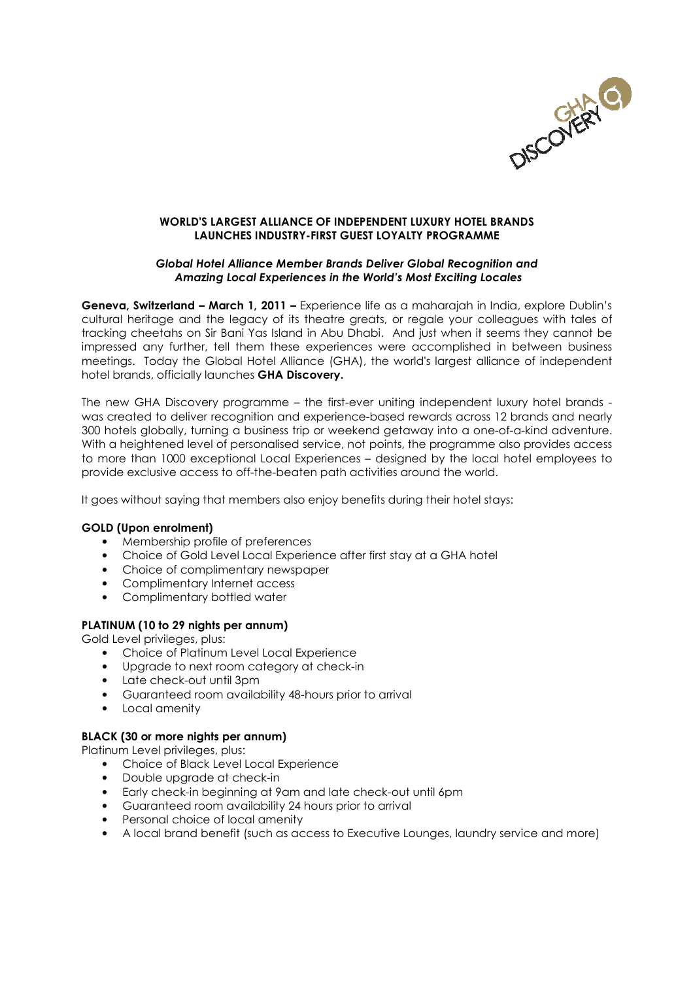

# WORLD'S LARGEST ALLIANCE OF INDEPENDENT LUXURY HOTEL BRANDS LAUNCHES INDUSTRY-FIRST GUEST LOYALTY PROGRAMME

### Global Hotel Alliance Member Brands Deliver Global Recognition and Amazing Local Experiences in the World's Most Exciting Locales

Geneva, Switzerland – March 1, 2011 – Experience life as a maharajah in India, explore Dublin's cultural heritage and the legacy of its theatre greats, or regale your colleagues with tales of tracking cheetahs on Sir Bani Yas Island in Abu Dhabi. And just when it seems they cannot be impressed any further, tell them these experiences were accomplished in between business meetings. Today the Global Hotel Alliance (GHA), the world's largest alliance of independent hotel brands, officially launches GHA Discovery.

The new GHA Discovery programme – the first-ever uniting independent luxury hotel brands was created to deliver recognition and experience-based rewards across 12 brands and nearly 300 hotels globally, turning a business trip or weekend getaway into a one-of-a-kind adventure. With a heightened level of personalised service, not points, the programme also provides access to more than 1000 exceptional Local Experiences – designed by the local hotel employees to provide exclusive access to off-the-beaten path activities around the world.

It goes without saying that members also enjoy benefits during their hotel stays:

# GOLD (Upon enrolment)

- Membership profile of preferences
- Choice of Gold Level Local Experience after first stay at a GHA hotel
- Choice of complimentary newspaper
- Complimentary Internet access
- Complimentary bottled water

# PLATINUM (10 to 29 nights per annum)

Gold Level privileges, plus:

- Choice of Platinum Level Local Experience
- Upgrade to next room category at check-in
- Late check-out until 3pm
- Guaranteed room availability 48-hours prior to arrival
- Local amenity

# BLACK (30 or more nights per annum)

Platinum Level privileges, plus:

- Choice of Black Level Local Experience
- Double upgrade at check-in
- Early check-in beginning at 9am and late check-out until 6pm
- Guaranteed room availability 24 hours prior to arrival
- Personal choice of local amenity
- A local brand benefit (such as access to Executive Lounges, laundry service and more)